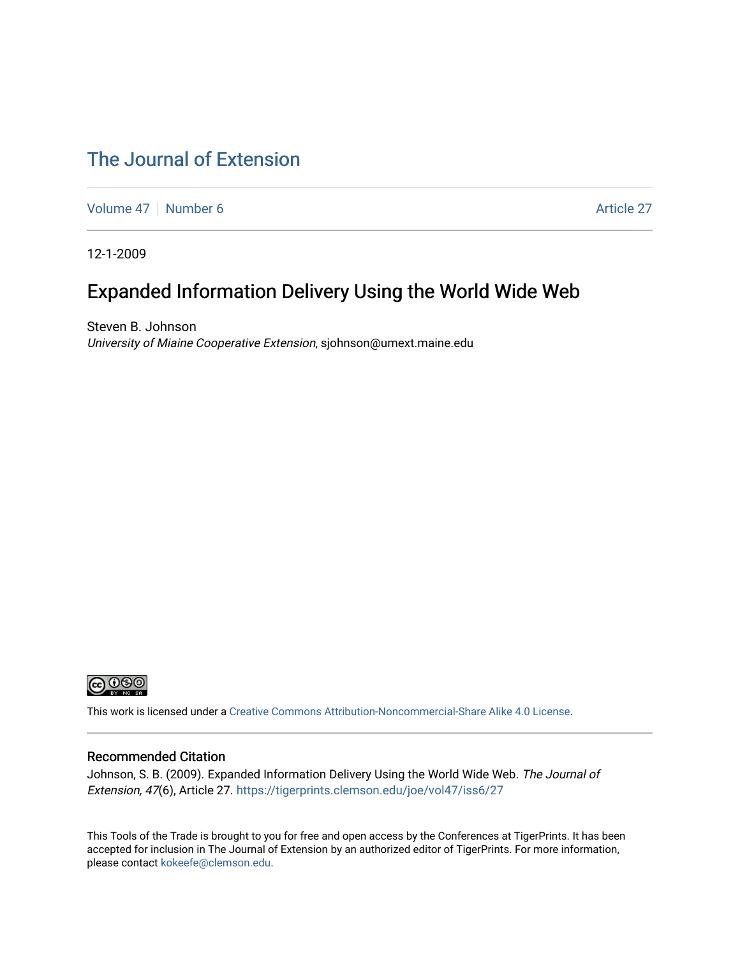## [The Journal of Extension](https://tigerprints.clemson.edu/joe)

[Volume 47](https://tigerprints.clemson.edu/joe/vol47) | [Number 6](https://tigerprints.clemson.edu/joe/vol47/iss6) Article 27

12-1-2009

## Expanded Information Delivery Using the World Wide Web

Steven B. Johnson University of Miaine Cooperative Extension, sjohnson@umext.maine.edu



This work is licensed under a [Creative Commons Attribution-Noncommercial-Share Alike 4.0 License.](https://creativecommons.org/licenses/by-nc-sa/4.0/)

#### Recommended Citation

Johnson, S. B. (2009). Expanded Information Delivery Using the World Wide Web. The Journal of Extension, 47(6), Article 27. <https://tigerprints.clemson.edu/joe/vol47/iss6/27>

This Tools of the Trade is brought to you for free and open access by the Conferences at TigerPrints. It has been accepted for inclusion in The Journal of Extension by an authorized editor of TigerPrints. For more information, please contact [kokeefe@clemson.edu](mailto:kokeefe@clemson.edu).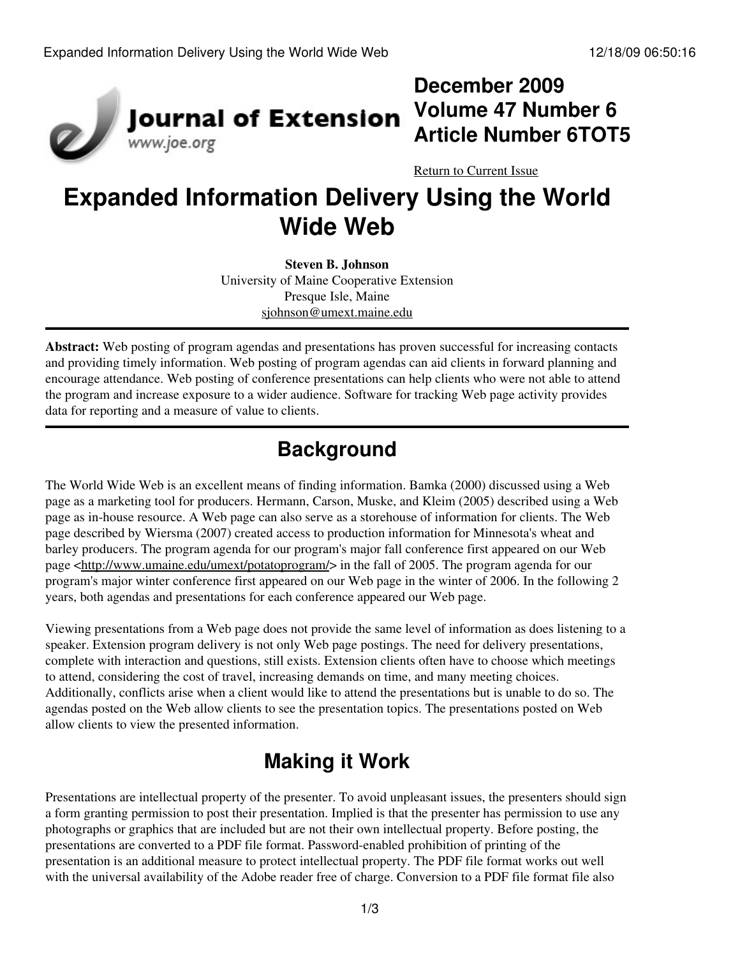

## **December 2009 Volume 47 Number 6 Article Number 6TOT5**

[Return to Current Issue](http://www.joe.org:80/joe/2009december/)

# **Expanded Information Delivery Using the World Wide Web**

**Steven B. Johnson** University of Maine Cooperative Extension Presque Isle, Maine [sjohnson@umext.maine.edu](mailto:sjohnson@umext.maine.edu)

**Abstract:** Web posting of program agendas and presentations has proven successful for increasing contacts and providing timely information. Web posting of program agendas can aid clients in forward planning and encourage attendance. Web posting of conference presentations can help clients who were not able to attend the program and increase exposure to a wider audience. Software for tracking Web page activity provides data for reporting and a measure of value to clients.

## **Background**

The World Wide Web is an excellent means of finding information. Bamka (2000) discussed using a Web page as a marketing tool for producers. Hermann, Carson, Muske, and Kleim (2005) described using a Web page as in-house resource. A Web page can also serve as a storehouse of information for clients. The Web page described by Wiersma (2007) created access to production information for Minnesota's wheat and barley producers. The program agenda for our program's major fall conference first appeared on our Web page [<http://www.umaine.edu/umext/potatoprogram/>](http://www.umaine.edu/umext/potatoprogram/) in the fall of 2005. The program agenda for our program's major winter conference first appeared on our Web page in the winter of 2006. In the following 2 years, both agendas and presentations for each conference appeared our Web page.

Viewing presentations from a Web page does not provide the same level of information as does listening to a speaker. Extension program delivery is not only Web page postings. The need for delivery presentations, complete with interaction and questions, still exists. Extension clients often have to choose which meetings to attend, considering the cost of travel, increasing demands on time, and many meeting choices. Additionally, conflicts arise when a client would like to attend the presentations but is unable to do so. The agendas posted on the Web allow clients to see the presentation topics. The presentations posted on Web allow clients to view the presented information.

# **Making it Work**

Presentations are intellectual property of the presenter. To avoid unpleasant issues, the presenters should sign a form granting permission to post their presentation. Implied is that the presenter has permission to use any photographs or graphics that are included but are not their own intellectual property. Before posting, the presentations are converted to a PDF file format. Password-enabled prohibition of printing of the presentation is an additional measure to protect intellectual property. The PDF file format works out well with the universal availability of the Adobe reader free of charge. Conversion to a PDF file format file also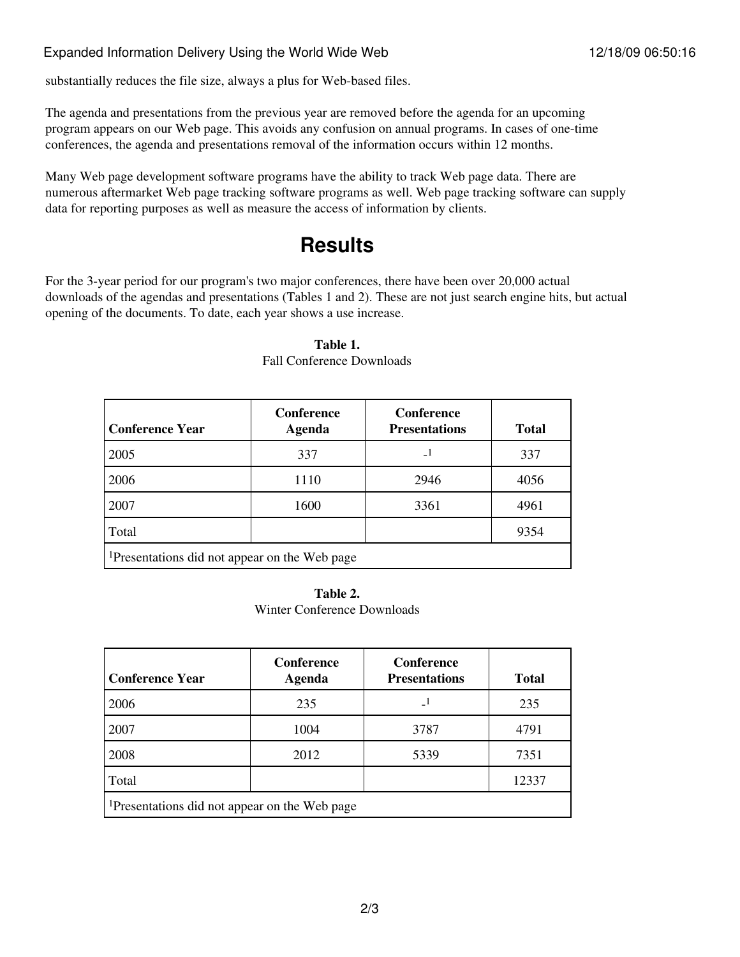substantially reduces the file size, always a plus for Web-based files.

The agenda and presentations from the previous year are removed before the agenda for an upcoming program appears on our Web page. This avoids any confusion on annual programs. In cases of one-time conferences, the agenda and presentations removal of the information occurs within 12 months.

Many Web page development software programs have the ability to track Web page data. There are numerous aftermarket Web page tracking software programs as well. Web page tracking software can supply data for reporting purposes as well as measure the access of information by clients.

## **Results**

For the 3-year period for our program's two major conferences, there have been over 20,000 actual downloads of the agendas and presentations (Tables 1 and 2). These are not just search engine hits, but actual opening of the documents. To date, each year shows a use increase.

| <b>Conference Year</b>                                    | Conference<br>Agenda | Conference<br><b>Presentations</b> | <b>Total</b> |  |
|-----------------------------------------------------------|----------------------|------------------------------------|--------------|--|
| 2005                                                      | 337                  |                                    | 337          |  |
| 2006                                                      | 1110                 | 2946                               | 4056         |  |
| 2007                                                      | 1600                 | 3361                               | 4961         |  |
| Total                                                     |                      |                                    | 9354         |  |
| <sup>1</sup> Presentations did not appear on the Web page |                      |                                    |              |  |

#### **Table 1.**

Fall Conference Downloads

#### **Table 2.**

Winter Conference Downloads

| <b>Conference Year</b>                                    | <b>Conference</b><br>Agenda | Conference<br><b>Presentations</b> | <b>Total</b> |  |
|-----------------------------------------------------------|-----------------------------|------------------------------------|--------------|--|
| 2006                                                      | 235                         |                                    | 235          |  |
| 2007                                                      | 1004                        | 3787                               | 4791         |  |
| 2008                                                      | 2012                        | 5339                               | 7351         |  |
| Total                                                     |                             |                                    | 12337        |  |
| <sup>1</sup> Presentations did not appear on the Web page |                             |                                    |              |  |